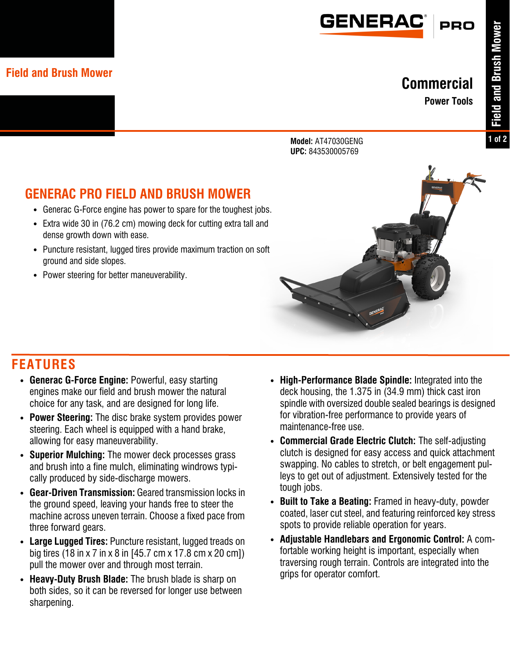

#### **Field and Brush Mower**

### **Commercial**

**Power Tools**

**Model:** AT47030GENG **UPC:** 843530005769

# **GENERAC PRO FIELD AND BRUSH MOWER**

- **•** Generac G-Force engine has power to spare for the toughest jobs.
- **•** Extra wide 30 in (76.2 cm) mowing deck for cutting extra tall and dense growth down with ease.
- **•** Puncture resistant, lugged tires provide maximum traction on soft ground and side slopes.
- **•** Power steering for better maneuverability.



## **FEATURES**

- **• Generac G-Force Engine:** Powerful, easy starting engines make our field and brush mower the natural choice for any task, and are designed for long life.
- **• Power Steering:** The disc brake system provides power steering. Each wheel is equipped with a hand brake, allowing for easy maneuverability.
- **• Superior Mulching:** The mower deck processes grass and brush into a fine mulch, eliminating windrows typically produced by side-discharge mowers.
- **• Gear-Driven Transmission:** Geared transmission locks in the ground speed, leaving your hands free to steer the machine across uneven terrain. Choose a fixed pace from three forward gears.
- **• Large Lugged Tires:** Puncture resistant, lugged treads on big tires (18 in x 7 in x 8 in [45.7 cm x 17.8 cm x 20 cm]) pull the mower over and through most terrain.
- **• Heavy-Duty Brush Blade:** The brush blade is sharp on both sides, so it can be reversed for longer use between sharpening.
- **• High-Performance Blade Spindle:** Integrated into the deck housing, the 1.375 in (34.9 mm) thick cast iron spindle with oversized double sealed bearings is designed for vibration-free performance to provide years of maintenance-free use.
- **• Commercial Grade Electric Clutch:** The self-adjusting clutch is designed for easy access and quick attachment swapping. No cables to stretch, or belt engagement pulleys to get out of adjustment. Extensively tested for the tough jobs.
- **• Built to Take a Beating:** Framed in heavy-duty, powder coated, laser cut steel, and featuring reinforced key stress spots to provide reliable operation for years.
- **• Adjustable Handlebars and Ergonomic Control:** A comfortable working height is important, especially when traversing rough terrain. Controls are integrated into the grips for operator comfort.